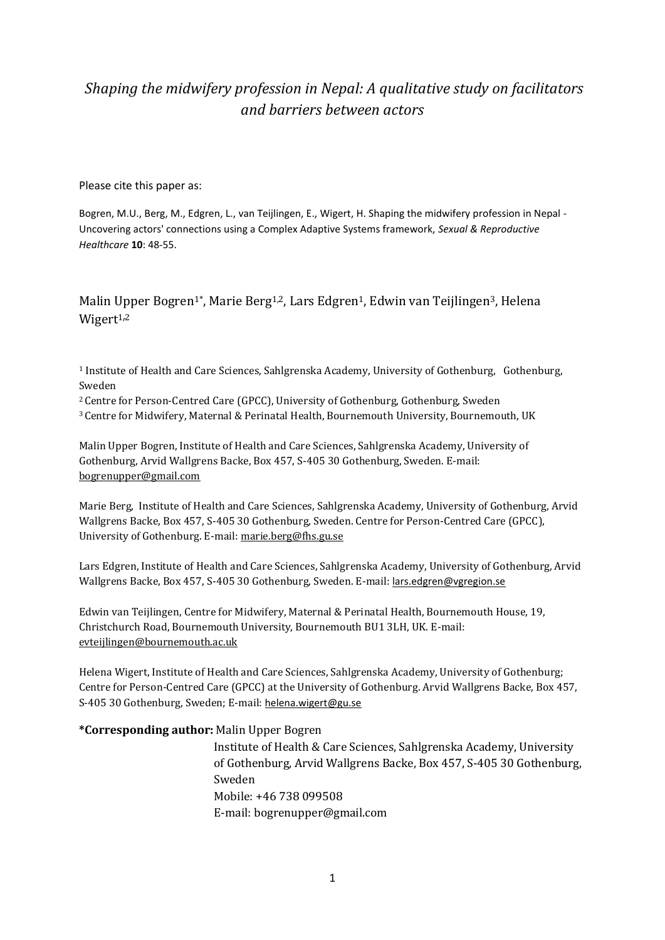# *Shaping the midwifery profession in Nepal: A qualitative study on facilitators and barriers between actors*

Please cite this paper as:

Bogren, M.U., Berg, M., Edgren, L., van Teijlingen, E., Wigert, H. Shaping the midwifery profession in Nepal - Uncovering actors' connections using a Complex Adaptive Systems framework, *Sexual & Reproductive Healthcare* **10**: 48-55.

Malin Upper Bogren<sup>1</sup>\*, Marie Berg<sup>1,2</sup>, Lars Edgren<sup>1</sup>, Edwin van Teijlingen<sup>3</sup>, Helena  $Wigert<sup>1,2</sup>$ 

<sup>1</sup> Institute of Health and Care Sciences, Sahlgrenska Academy, University of Gothenburg, Gothenburg, Sweden

<sup>2</sup>Centre for Person-Centred Care (GPCC), University of Gothenburg, Gothenburg, Sweden <sup>3</sup>Centre for Midwifery, Maternal & Perinatal Health, Bournemouth University, Bournemouth, UK

Malin Upper Bogren, Institute of Health and Care Sciences, Sahlgrenska Academy, University of Gothenburg, Arvid Wallgrens Backe, Box 457, S-405 30 Gothenburg, Sweden. E-mail: [bogrenupper@gmail.com](mailto:bogrenupper@gmail.com)

Marie Berg, Institute of Health and Care Sciences, Sahlgrenska Academy, University of Gothenburg, Arvid Wallgrens Backe, Box 457, S-405 30 Gothenburg, Sweden. Centre for Person-Centred Care (GPCC), University of Gothenburg. E-mail[: marie.berg@fhs.gu.se](mailto:marie.berg@fhs.gu.se)

Lars Edgren, Institute of Health and Care Sciences, Sahlgrenska Academy, University of Gothenburg, Arvid Wallgrens Backe, Box 457, S-405 30 Gothenburg, Sweden. E-mail: [lars.edgren@vgregion.se](mailto:lars.edgren@vgregion.se)

Edwin van Teijlingen, Centre for Midwifery, Maternal & Perinatal Health, Bournemouth House, 19, Christchurch Road, Bournemouth University, Bournemouth BU1 3LH, UK. E-mail: [evteijlingen@bournemouth.ac.uk](mailto:evteijlingen@bournemouth.ac.uk)

Helena Wigert, Institute of Health and Care Sciences, Sahlgrenska Academy, University of Gothenburg; Centre for Person-Centred Care (GPCC) at the University of Gothenburg. Arvid Wallgrens Backe, Box 457, S-405 30 Gothenburg, Sweden; E-mail: [helena.wigert@gu.se](mailto:helena.wigert@gu.se)

### **\*Corresponding author:** Malin Upper Bogren

Institute of Health & Care Sciences, Sahlgrenska Academy, University of Gothenburg, Arvid Wallgrens Backe, Box 457, S-405 30 Gothenburg, Sweden Mobile: +46 738 099508 E-mail: bogrenupper@gmail.com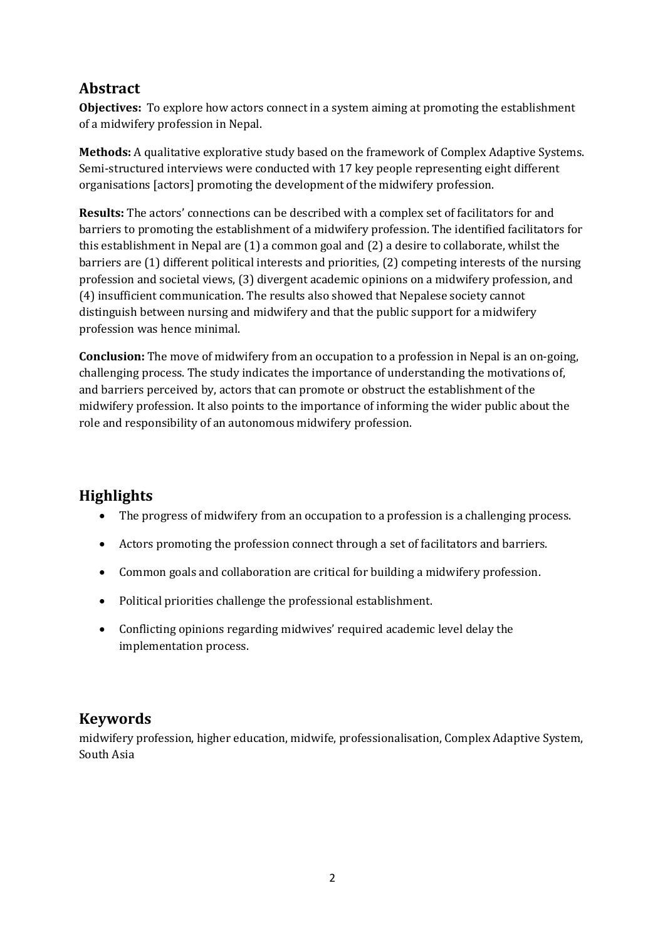# **Abstract**

**Objectives:** To explore how actors connect in a system aiming at promoting the establishment of a midwifery profession in Nepal.

**Methods:** A qualitative explorative study based on the framework of Complex Adaptive Systems. Semi-structured interviews were conducted with 17 key people representing eight different organisations [actors] promoting the development of the midwifery profession.

**Results:** The actors' connections can be described with a complex set of facilitators for and barriers to promoting the establishment of a midwifery profession. The identified facilitators for this establishment in Nepal are (1) a common goal and (2) a desire to collaborate, whilst the barriers are (1) different political interests and priorities, (2) competing interests of the nursing profession and societal views, (3) divergent academic opinions on a midwifery profession, and (4) insufficient communication. The results also showed that Nepalese society cannot distinguish between nursing and midwifery and that the public support for a midwifery profession was hence minimal.

**Conclusion:** The move of midwifery from an occupation to a profession in Nepal is an on-going, challenging process. The study indicates the importance of understanding the motivations of, and barriers perceived by, actors that can promote or obstruct the establishment of the midwifery profession. It also points to the importance of informing the wider public about the role and responsibility of an autonomous midwifery profession.

# **Highlights**

- The progress of midwifery from an occupation to a profession is a challenging process.
- Actors promoting the profession connect through a set of facilitators and barriers.
- Common goals and collaboration are critical for building a midwifery profession.
- Political priorities challenge the professional establishment.
- Conflicting opinions regarding midwives' required academic level delay the implementation process.

# **Keywords**

midwifery profession, higher education, midwife, professionalisation, Complex Adaptive System, South Asia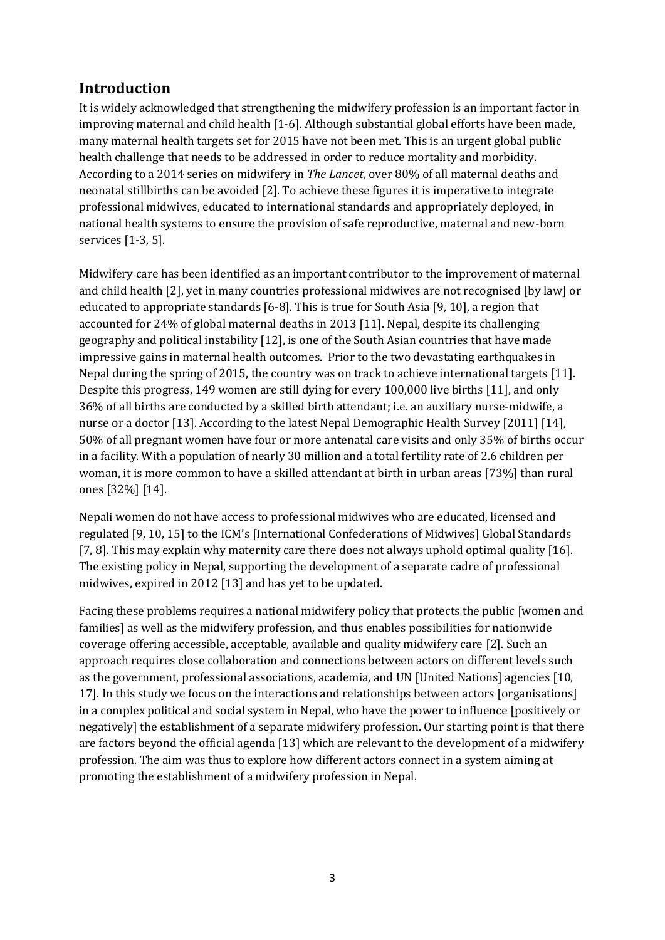# **Introduction**

It is widely acknowledged that strengthening the midwifery profession is an important factor in improving maternal and child health [1-6]. Although substantial global efforts have been made, many maternal health targets set for 2015 have not been met. This is an urgent global public health challenge that needs to be addressed in order to reduce mortality and morbidity. According to a 2014 series on midwifery in *The Lancet*, over 80% of all maternal deaths and neonatal stillbirths can be avoided [2]. To achieve these figures it is imperative to integrate professional midwives, educated to international standards and appropriately deployed, in national health systems to ensure the provision of safe reproductive, maternal and new-born services [1-3, 5].

Midwifery care has been identified as an important contributor to the improvement of maternal and child health [2], yet in many countries professional midwives are not recognised [by law] or educated to appropriate standards [6-8]. This is true for South Asia [9, 10], a region that accounted for 24% of global maternal deaths in 2013 [11]. Nepal, despite its challenging geography and political instability [12], is one of the South Asian countries that have made impressive gains in maternal health outcomes. Prior to the two devastating earthquakes in Nepal during the spring of 2015, the country was on track to achieve international targets [11]. Despite this progress, 149 women are still dying for every 100,000 live births [11], and only 36% of all births are conducted by a skilled birth attendant; i.e. an auxiliary nurse-midwife, a nurse or a doctor [13]. According to the latest Nepal Demographic Health Survey [2011] [14], 50% of all pregnant women have four or more antenatal care visits and only 35% of births occur in a facility. With a population of nearly 30 million and a total fertility rate of 2.6 children per woman, it is more common to have a skilled attendant at birth in urban areas [73%] than rural ones [32%] [14].

Nepali women do not have access to professional midwives who are educated, licensed and regulated [9, 10, 15] to the ICM's [International Confederations of Midwives] Global Standards [7, 8]. This may explain why maternity care there does not always uphold optimal quality [16]. The existing policy in Nepal, supporting the development of a separate cadre of professional midwives, expired in 2012 [13] and has yet to be updated.

Facing these problems requires a national midwifery policy that protects the public [women and families] as well as the midwifery profession, and thus enables possibilities for nationwide coverage offering accessible, acceptable, available and quality midwifery care [2]. Such an approach requires close collaboration and connections between actors on different levels such as the government, professional associations, academia, and UN [United Nations] agencies [10, 17]. In this study we focus on the interactions and relationships between actors [organisations] in a complex political and social system in Nepal, who have the power to influence [positively or negatively] the establishment of a separate midwifery profession. Our starting point is that there are factors beyond the official agenda [13] which are relevant to the development of a midwifery profession. The aim was thus to explore how different actors connect in a system aiming at promoting the establishment of a midwifery profession in Nepal.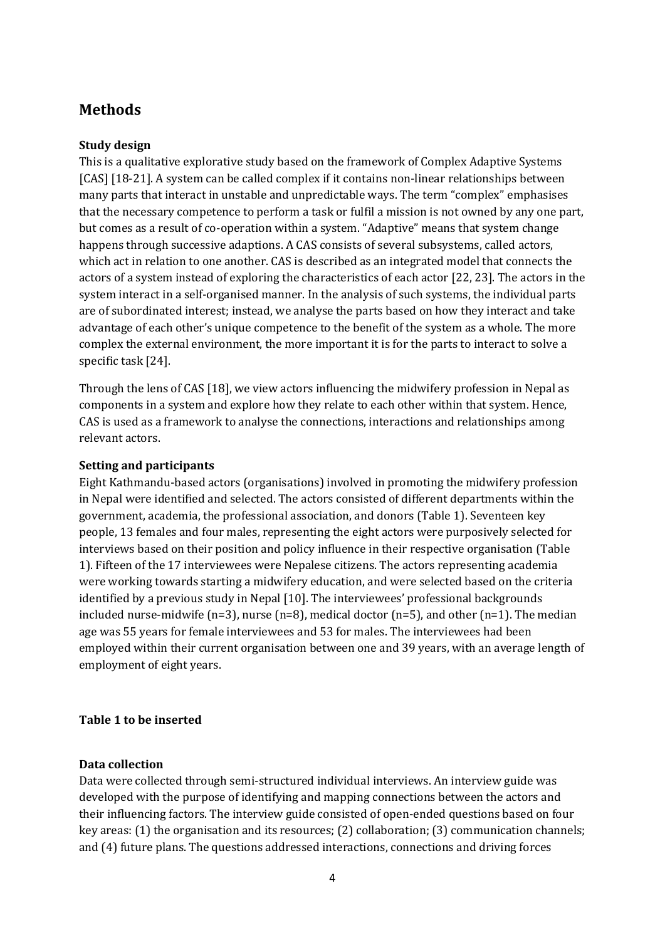## **Methods**

### **Study design**

This is a qualitative explorative study based on the framework of Complex Adaptive Systems [CAS] [18-21]. A system can be called complex if it contains non-linear relationships between many parts that interact in unstable and unpredictable ways. The term "complex" emphasises that the necessary competence to perform a task or fulfil a mission is not owned by any one part, but comes as a result of co-operation within a system. "Adaptive" means that system change happens through successive adaptions. A CAS consists of several subsystems, called actors, which act in relation to one another. CAS is described as an integrated model that connects the actors of a system instead of exploring the characteristics of each actor [22, 23]. The actors in the system interact in a self-organised manner. In the analysis of such systems, the individual parts are of subordinated interest; instead, we analyse the parts based on how they interact and take advantage of each other's unique competence to the benefit of the system as a whole. The more complex the external environment, the more important it is for the parts to interact to solve a specific task [24].

Through the lens of CAS [18], we view actors influencing the midwifery profession in Nepal as components in a system and explore how they relate to each other within that system. Hence, CAS is used as a framework to analyse the connections, interactions and relationships among relevant actors.

### **Setting and participants**

Eight Kathmandu-based actors (organisations) involved in promoting the midwifery profession in Nepal were identified and selected. The actors consisted of different departments within the government, academia, the professional association, and donors (Table 1). Seventeen key people, 13 females and four males, representing the eight actors were purposively selected for interviews based on their position and policy influence in their respective organisation (Table 1). Fifteen of the 17 interviewees were Nepalese citizens. The actors representing academia were working towards starting a midwifery education, and were selected based on the criteria identified by a previous study in Nepal [10]. The interviewees' professional backgrounds included nurse-midwife (n=3), nurse (n=8), medical doctor (n=5), and other (n=1). The median age was 55 years for female interviewees and 53 for males. The interviewees had been employed within their current organisation between one and 39 years, with an average length of employment of eight years.

### **Table 1 to be inserted**

### **Data collection**

Data were collected through semi-structured individual interviews. An interview guide was developed with the purpose of identifying and mapping connections between the actors and their influencing factors. The interview guide consisted of open-ended questions based on four key areas: (1) the organisation and its resources; (2) collaboration; (3) communication channels; and (4) future plans. The questions addressed interactions, connections and driving forces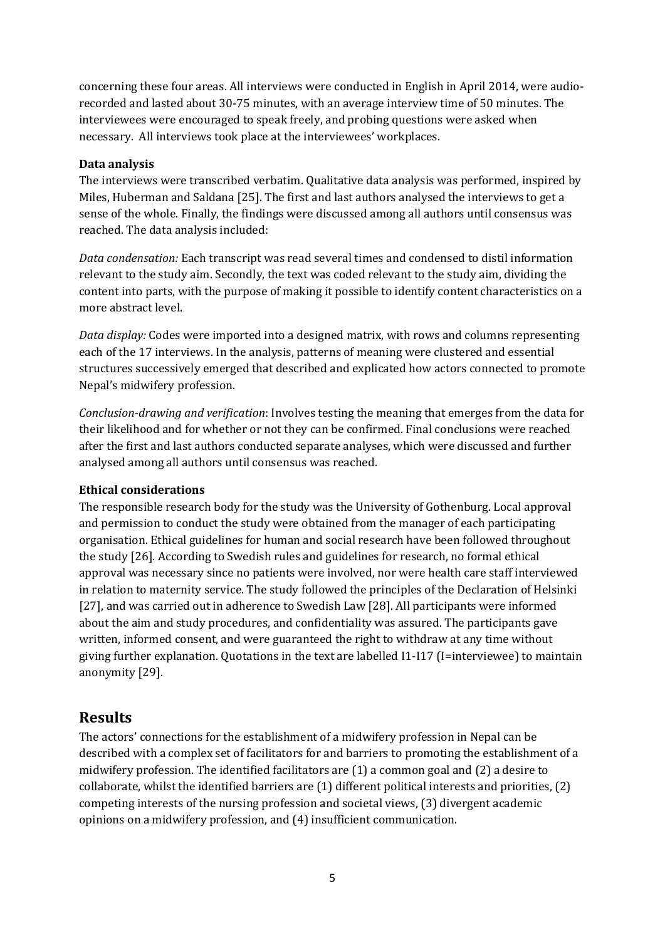concerning these four areas. All interviews were conducted in English in April 2014, were audiorecorded and lasted about 30-75 minutes, with an average interview time of 50 minutes. The interviewees were encouraged to speak freely, and probing questions were asked when necessary. All interviews took place at the interviewees' workplaces.

#### **Data analysis**

The interviews were transcribed verbatim. Qualitative data analysis was performed, inspired by Miles, Huberman and Saldana [25]. The first and last authors analysed the interviews to get a sense of the whole. Finally, the findings were discussed among all authors until consensus was reached. The data analysis included:

*Data condensation:* Each transcript was read several times and condensed to distil information relevant to the study aim. Secondly, the text was coded relevant to the study aim, dividing the content into parts, with the purpose of making it possible to identify content characteristics on a more abstract level.

*Data display:* Codes were imported into a designed matrix, with rows and columns representing each of the 17 interviews. In the analysis, patterns of meaning were clustered and essential structures successively emerged that described and explicated how actors connected to promote Nepal's midwifery profession.

*Conclusion-drawing and verification*: Involves testing the meaning that emerges from the data for their likelihood and for whether or not they can be confirmed. Final conclusions were reached after the first and last authors conducted separate analyses, which were discussed and further analysed among all authors until consensus was reached.

#### **Ethical considerations**

The responsible research body for the study was the University of Gothenburg. Local approval and permission to conduct the study were obtained from the manager of each participating organisation. Ethical guidelines for human and social research have been followed throughout the study [26]. According to Swedish rules and guidelines for research, no formal ethical approval was necessary since no patients were involved, nor were health care staff interviewed in relation to maternity service. The study followed the principles of the Declaration of Helsinki [27], and was carried out in adherence to Swedish Law [28]. All participants were informed about the aim and study procedures, and confidentiality was assured. The participants gave written, informed consent, and were guaranteed the right to withdraw at any time without giving further explanation. Quotations in the text are labelled I1-I17 (I=interviewee) to maintain anonymity [29].

### **Results**

The actors' connections for the establishment of a midwifery profession in Nepal can be described with a complex set of facilitators for and barriers to promoting the establishment of a midwifery profession. The identified facilitators are (1) a common goal and (2) a desire to collaborate, whilst the identified barriers are (1) different political interests and priorities, (2) competing interests of the nursing profession and societal views, (3) divergent academic opinions on a midwifery profession, and (4) insufficient communication.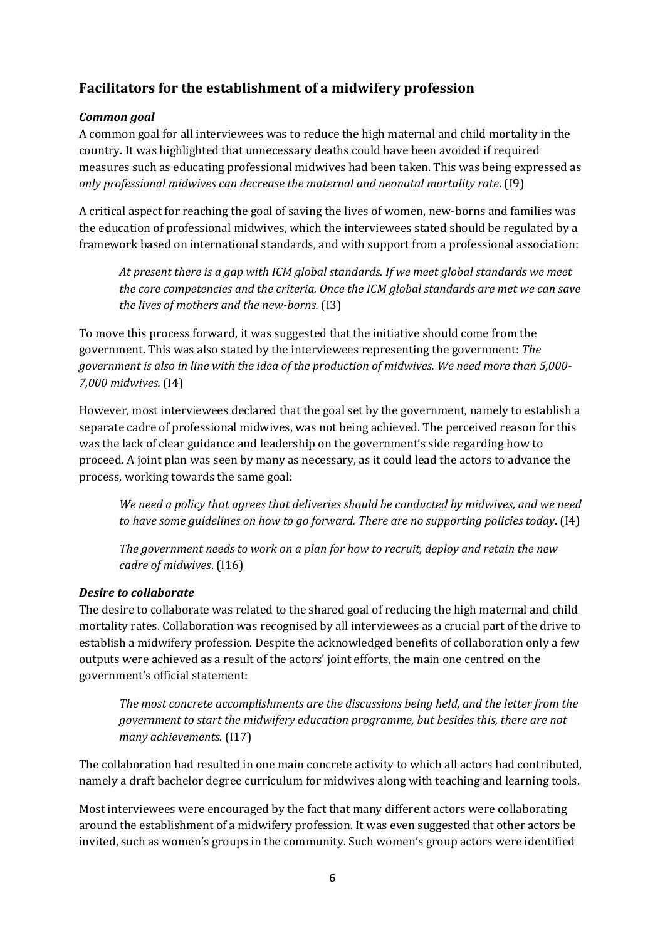## **Facilitators for the establishment of a midwifery profession**

### *Common goal*

A common goal for all interviewees was to reduce the high maternal and child mortality in the country. It was highlighted that unnecessary deaths could have been avoided if required measures such as educating professional midwives had been taken. This was being expressed as *only professional midwives can decrease the maternal and neonatal mortality rate*. (I9)

A critical aspect for reaching the goal of saving the lives of women, new-borns and families was the education of professional midwives, which the interviewees stated should be regulated by a framework based on international standards, and with support from a professional association:

*At present there is a gap with ICM global standards. If we meet global standards we meet the core competencies and the criteria. Once the ICM global standards are met we can save the lives of mothers and the new-borns.* (I3)

To move this process forward, it was suggested that the initiative should come from the government. This was also stated by the interviewees representing the government: *The government is also in line with the idea of the production of midwives. We need more than 5,000- 7,000 midwives.* (I4)

However, most interviewees declared that the goal set by the government, namely to establish a separate cadre of professional midwives, was not being achieved. The perceived reason for this was the lack of clear guidance and leadership on the government's side regarding how to proceed. A joint plan was seen by many as necessary, as it could lead the actors to advance the process, working towards the same goal:

*We need a policy that agrees that deliveries should be conducted by midwives, and we need to have some guidelines on how to go forward. There are no supporting policies today*. (I4)

*The government needs to work on a plan for how to recruit, deploy and retain the new cadre of midwives*. (I16)

### *Desire to collaborate*

The desire to collaborate was related to the shared goal of reducing the high maternal and child mortality rates. Collaboration was recognised by all interviewees as a crucial part of the drive to establish a midwifery profession. Despite the acknowledged benefits of collaboration only a few outputs were achieved as a result of the actors' joint efforts, the main one centred on the government's official statement:

*The most concrete accomplishments are the discussions being held, and the letter from the government to start the midwifery education programme, but besides this, there are not many achievements.* (I17)

The collaboration had resulted in one main concrete activity to which all actors had contributed, namely a draft bachelor degree curriculum for midwives along with teaching and learning tools.

Most interviewees were encouraged by the fact that many different actors were collaborating around the establishment of a midwifery profession. It was even suggested that other actors be invited, such as women's groups in the community. Such women's group actors were identified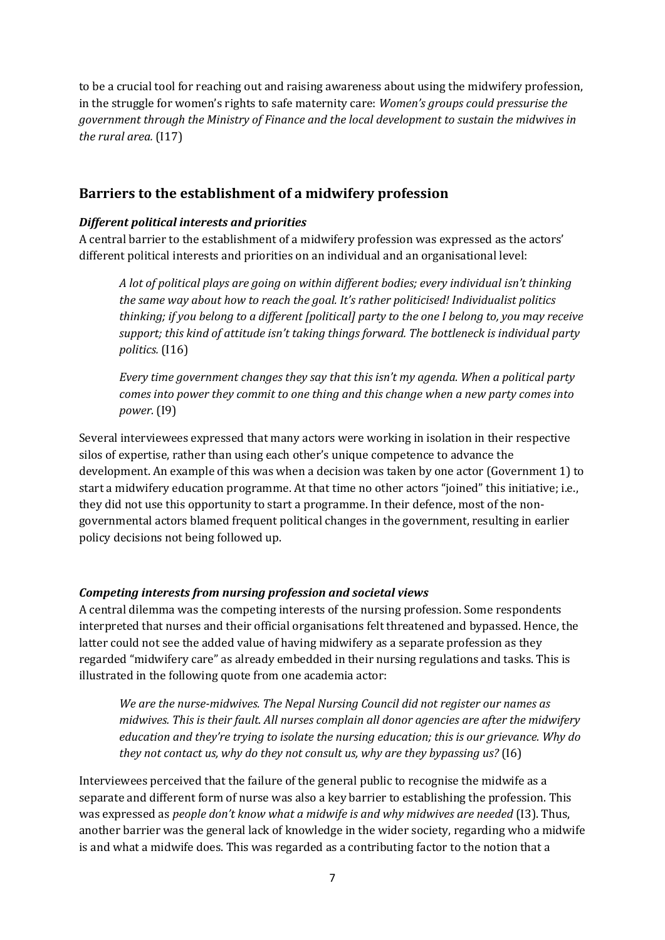to be a crucial tool for reaching out and raising awareness about using the midwifery profession, in the struggle for women's rights to safe maternity care: *Women's groups could pressurise the government through the Ministry of Finance and the local development to sustain the midwives in the rural area.* (I17)

### **Barriers to the establishment of a midwifery profession**

### *Different political interests and priorities*

A central barrier to the establishment of a midwifery profession was expressed as the actors' different political interests and priorities on an individual and an organisational level:

*A lot of political plays are going on within different bodies; every individual isn't thinking the same way about how to reach the goal. It's rather politicised! Individualist politics thinking; if you belong to a different [political] party to the one I belong to, you may receive support; this kind of attitude isn't taking things forward. The bottleneck is individual party politics.* (I16)

*Every time government changes they say that this isn't my agenda. When a political party comes into power they commit to one thing and this change when a new party comes into power.* (I9)

Several interviewees expressed that many actors were working in isolation in their respective silos of expertise, rather than using each other's unique competence to advance the development. An example of this was when a decision was taken by one actor (Government 1) to start a midwifery education programme. At that time no other actors "joined" this initiative; i.e., they did not use this opportunity to start a programme. In their defence, most of the nongovernmental actors blamed frequent political changes in the government, resulting in earlier policy decisions not being followed up.

### *Competing interests from nursing profession and societal views*

A central dilemma was the competing interests of the nursing profession. Some respondents interpreted that nurses and their official organisations felt threatened and bypassed. Hence, the latter could not see the added value of having midwifery as a separate profession as they regarded "midwifery care" as already embedded in their nursing regulations and tasks. This is illustrated in the following quote from one academia actor:

*We are the nurse-midwives. The Nepal Nursing Council did not register our names as midwives. This is their fault. All nurses complain all donor agencies are after the midwifery education and they're trying to isolate the nursing education; this is our grievance. Why do they not contact us, why do they not consult us, why are they bypassing us?* (I6)

Interviewees perceived that the failure of the general public to recognise the midwife as a separate and different form of nurse was also a key barrier to establishing the profession. This was expressed as *people don't know what a midwife is and why midwives are needed* (I3). Thus, another barrier was the general lack of knowledge in the wider society, regarding who a midwife is and what a midwife does. This was regarded as a contributing factor to the notion that a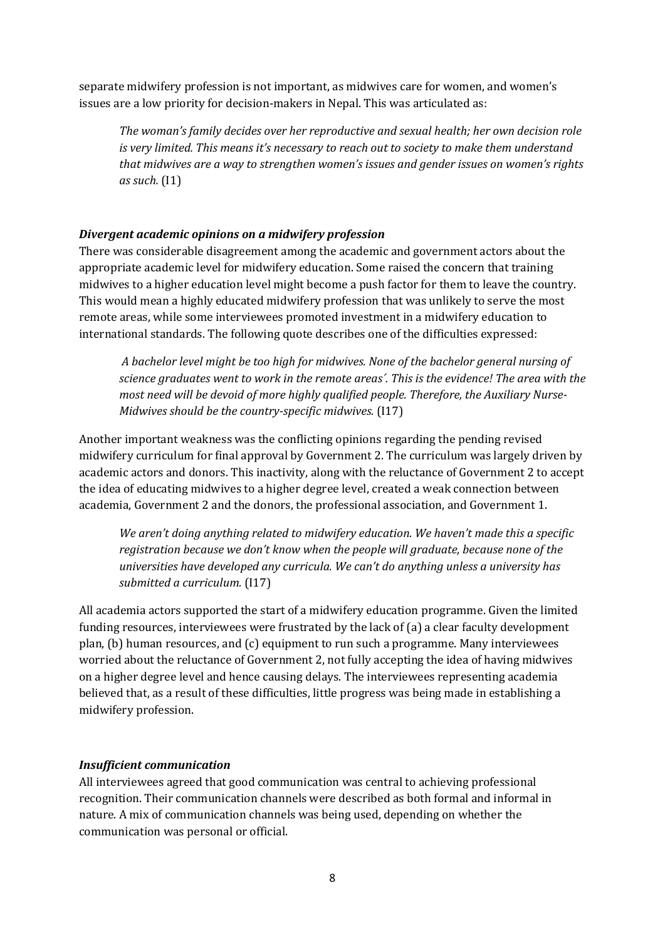separate midwifery profession is not important, as midwives care for women, and women's issues are a low priority for decision-makers in Nepal. This was articulated as:

*The woman's family decides over her reproductive and sexual health; her own decision role is very limited. This means it's necessary to reach out to society to make them understand that midwives are a way to strengthen women's issues and gender issues on women's rights as such.* (I1)

### *Divergent academic opinions on a midwifery profession*

There was considerable disagreement among the academic and government actors about the appropriate academic level for midwifery education. Some raised the concern that training midwives to a higher education level might become a push factor for them to leave the country. This would mean a highly educated midwifery profession that was unlikely to serve the most remote areas, while some interviewees promoted investment in a midwifery education to international standards. The following quote describes one of the difficulties expressed:

*A bachelor level might be too high for midwives. None of the bachelor general nursing of science graduates went to work in the remote areas´. This is the evidence! The area with the most need will be devoid of more highly qualified people. Therefore, the Auxiliary Nurse-Midwives should be the country-specific midwives.* (I17)

Another important weakness was the conflicting opinions regarding the pending revised midwifery curriculum for final approval by Government 2. The curriculum was largely driven by academic actors and donors. This inactivity, along with the reluctance of Government 2 to accept the idea of educating midwives to a higher degree level, created a weak connection between academia, Government 2 and the donors, the professional association, and Government 1.

*We aren't doing anything related to midwifery education. We haven't made this a specific registration because we don't know when the people will graduate, because none of the universities have developed any curricula. We can't do anything unless a university has submitted a curriculum.* (I17)

All academia actors supported the start of a midwifery education programme. Given the limited funding resources, interviewees were frustrated by the lack of (a) a clear faculty development plan, (b) human resources, and (c) equipment to run such a programme. Many interviewees worried about the reluctance of Government 2, not fully accepting the idea of having midwives on a higher degree level and hence causing delays. The interviewees representing academia believed that, as a result of these difficulties, little progress was being made in establishing a midwifery profession.

### *Insufficient communication*

All interviewees agreed that good communication was central to achieving professional recognition. Their communication channels were described as both formal and informal in nature. A mix of communication channels was being used, depending on whether the communication was personal or official.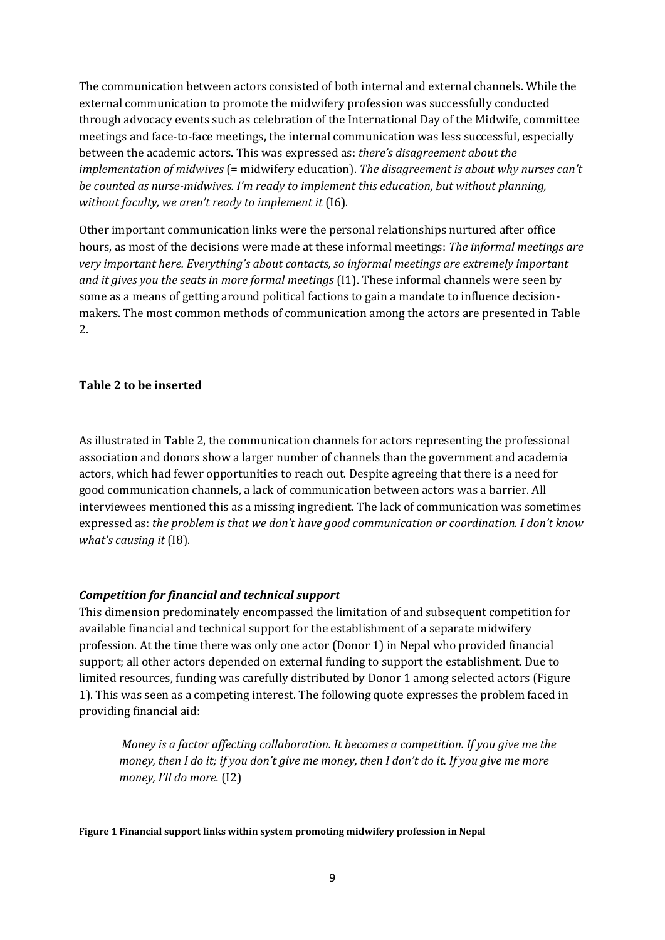The communication between actors consisted of both internal and external channels. While the external communication to promote the midwifery profession was successfully conducted through advocacy events such as celebration of the International Day of the Midwife, committee meetings and face-to-face meetings, the internal communication was less successful, especially between the academic actors. This was expressed as: *there's disagreement about the implementation of midwives* (= midwifery education). *The disagreement is about why nurses can't be counted as nurse-midwives. I'm ready to implement this education, but without planning, without faculty, we aren't ready to implement it* (I6).

Other important communication links were the personal relationships nurtured after office hours, as most of the decisions were made at these informal meetings: *The informal meetings are very important here. Everything's about contacts, so informal meetings are extremely important and it gives you the seats in more formal meetings* (I1). These informal channels were seen by some as a means of getting around political factions to gain a mandate to influence decisionmakers. The most common methods of communication among the actors are presented in Table 2.

### **Table 2 to be inserted**

As illustrated in Table 2, the communication channels for actors representing the professional association and donors show a larger number of channels than the government and academia actors, which had fewer opportunities to reach out. Despite agreeing that there is a need for good communication channels, a lack of communication between actors was a barrier. All interviewees mentioned this as a missing ingredient. The lack of communication was sometimes expressed as: *the problem is that we don't have good communication or coordination. I don't know what's causing it* (I8).

#### *Competition for financial and technical support*

This dimension predominately encompassed the limitation of and subsequent competition for available financial and technical support for the establishment of a separate midwifery profession. At the time there was only one actor (Donor 1) in Nepal who provided financial support; all other actors depended on external funding to support the establishment. Due to limited resources, funding was carefully distributed by Donor 1 among selected actors (Figure 1). This was seen as a competing interest. The following quote expresses the problem faced in providing financial aid:

*Money is a factor affecting collaboration. It becomes a competition. If you give me the money, then I do it; if you don't give me money, then I don't do it. If you give me more money, I'll do more.* (I2)

**Figure 1 Financial support links within system promoting midwifery profession in Nepal**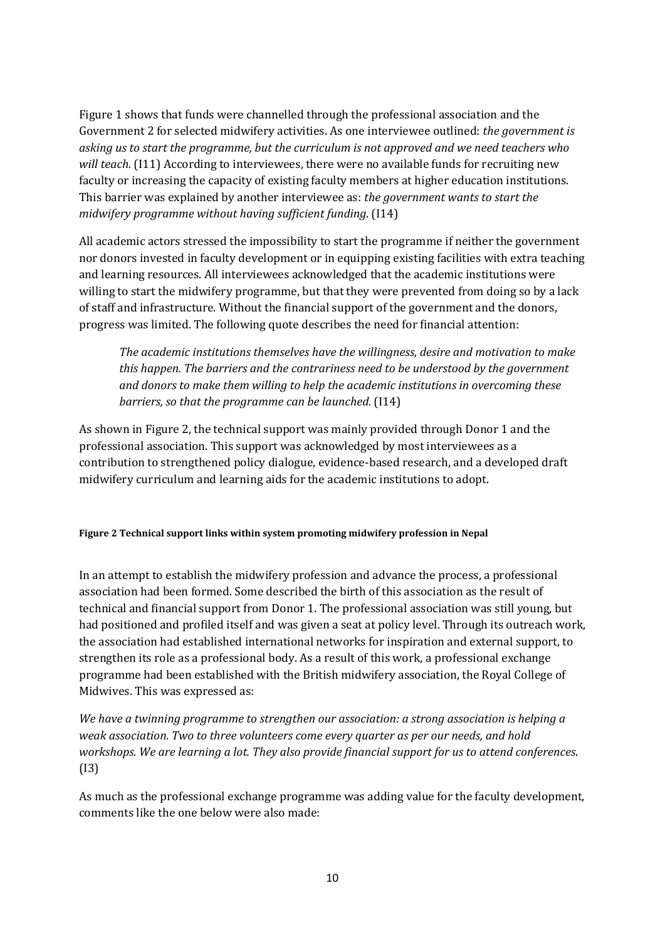Figure 1 shows that funds were channelled through the professional association and the Government 2 for selected midwifery activities. As one interviewee outlined: *the government is asking us to start the programme, but the curriculum is not approved and we need teachers who*  will teach. (I11) According to interviewees, there were no available funds for recruiting new faculty or increasing the capacity of existing faculty members at higher education institutions. This barrier was explained by another interviewee as: *the government wants to start the midwifery programme without having sufficient funding.* (I14)

All academic actors stressed the impossibility to start the programme if neither the government nor donors invested in faculty development or in equipping existing facilities with extra teaching and learning resources. All interviewees acknowledged that the academic institutions were willing to start the midwifery programme, but that they were prevented from doing so by a lack of staff and infrastructure. Without the financial support of the government and the donors, progress was limited. The following quote describes the need for financial attention:

*The academic institutions themselves have the willingness, desire and motivation to make this happen. The barriers and the contrariness need to be understood by the government and donors to make them willing to help the academic institutions in overcoming these barriers, so that the programme can be launched.* (I14)

As shown in Figure 2, the technical support was mainly provided through Donor 1 and the professional association. This support was acknowledged by most interviewees as a contribution to strengthened policy dialogue, evidence-based research, and a developed draft midwifery curriculum and learning aids for the academic institutions to adopt.

### **Figure 2 Technical support links within system promoting midwifery profession in Nepal**

In an attempt to establish the midwifery profession and advance the process, a professional association had been formed. Some described the birth of this association as the result of technical and financial support from Donor 1. The professional association was still young, but had positioned and profiled itself and was given a seat at policy level. Through its outreach work, the association had established international networks for inspiration and external support, to strengthen its role as a professional body. As a result of this work, a professional exchange programme had been established with the British midwifery association, the Royal College of Midwives. This was expressed as:

*We have a twinning programme to strengthen our association: a strong association is helping a weak association. Two to three volunteers come every quarter as per our needs, and hold workshops. We are learning a lot. They also provide financial support for us to attend conferences*. (I3)

As much as the professional exchange programme was adding value for the faculty development, comments like the one below were also made: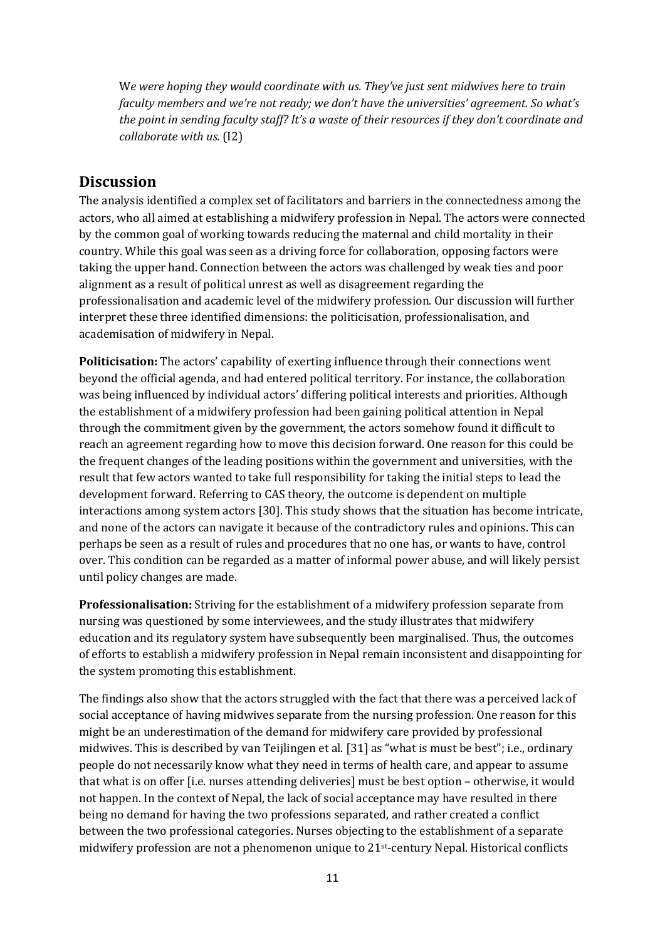W*e were hoping they would coordinate with us. They've just sent midwives here to train faculty members and we're not ready; we don't have the universities' agreement. So what's the point in sending faculty staff? It's a waste of their resources if they don't coordinate and collaborate with us.* (I2)

## **Discussion**

The analysis identified a complex set of facilitators and barriers in the connectedness among the actors, who all aimed at establishing a midwifery profession in Nepal. The actors were connected by the common goal of working towards reducing the maternal and child mortality in their country. While this goal was seen as a driving force for collaboration, opposing factors were taking the upper hand. Connection between the actors was challenged by weak ties and poor alignment as a result of political unrest as well as disagreement regarding the professionalisation and academic level of the midwifery profession. Our discussion will further interpret these three identified dimensions: the politicisation, professionalisation, and academisation of midwifery in Nepal.

**Politicisation:** The actors' capability of exerting influence through their connections went beyond the official agenda, and had entered political territory. For instance, the collaboration was being influenced by individual actors' differing political interests and priorities. Although the establishment of a midwifery profession had been gaining political attention in Nepal through the commitment given by the government, the actors somehow found it difficult to reach an agreement regarding how to move this decision forward. One reason for this could be the frequent changes of the leading positions within the government and universities, with the result that few actors wanted to take full responsibility for taking the initial steps to lead the development forward. Referring to CAS theory, the outcome is dependent on multiple interactions among system actors [30]. This study shows that the situation has become intricate, and none of the actors can navigate it because of the contradictory rules and opinions. This can perhaps be seen as a result of rules and procedures that no one has, or wants to have, control over. This condition can be regarded as a matter of informal power abuse, and will likely persist until policy changes are made.

**Professionalisation:** Striving for the establishment of a midwifery profession separate from nursing was questioned by some interviewees, and the study illustrates that midwifery education and its regulatory system have subsequently been marginalised. Thus, the outcomes of efforts to establish a midwifery profession in Nepal remain inconsistent and disappointing for the system promoting this establishment.

The findings also show that the actors struggled with the fact that there was a perceived lack of social acceptance of having midwives separate from the nursing profession. One reason for this might be an underestimation of the demand for midwifery care provided by professional midwives. This is described by van Teijlingen et al. [31] as "what is must be best"; i.e., ordinary people do not necessarily know what they need in terms of health care, and appear to assume that what is on offer [i.e. nurses attending deliveries] must be best option – otherwise, it would not happen. In the context of Nepal, the lack of social acceptance may have resulted in there being no demand for having the two professions separated, and rather created a conflict between the two professional categories. Nurses objecting to the establishment of a separate midwifery profession are not a phenomenon unique to 21st-century Nepal. Historical conflicts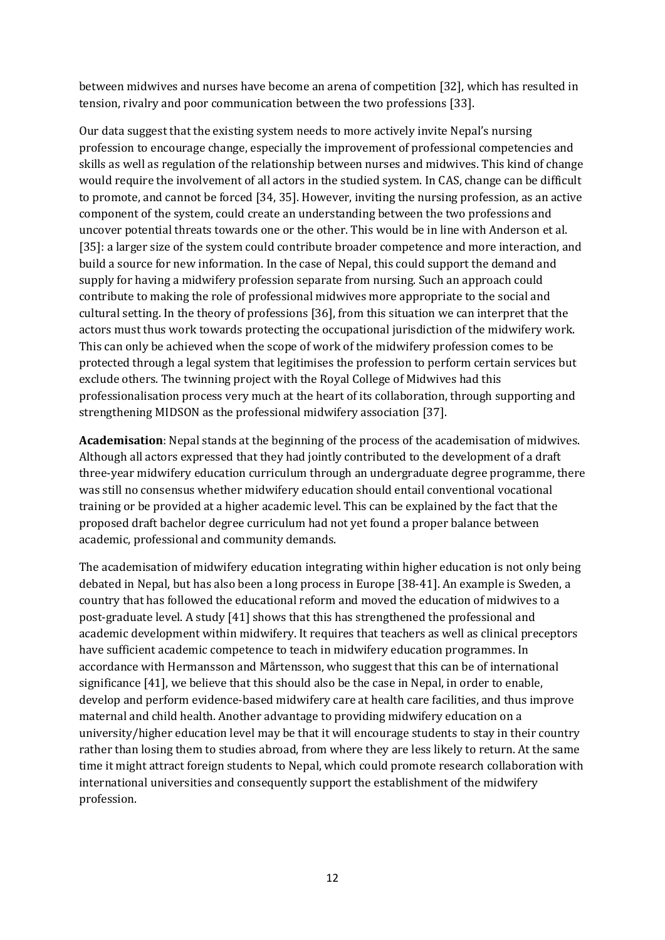between midwives and nurses have become an arena of competition [32], which has resulted in tension, rivalry and poor communication between the two professions [33].

Our data suggest that the existing system needs to more actively invite Nepal's nursing profession to encourage change, especially the improvement of professional competencies and skills as well as regulation of the relationship between nurses and midwives. This kind of change would require the involvement of all actors in the studied system. In CAS, change can be difficult to promote, and cannot be forced [34, 35]. However, inviting the nursing profession, as an active component of the system, could create an understanding between the two professions and uncover potential threats towards one or the other. This would be in line with Anderson et al. [35]: a larger size of the system could contribute broader competence and more interaction, and build a source for new information. In the case of Nepal, this could support the demand and supply for having a midwifery profession separate from nursing. Such an approach could contribute to making the role of professional midwives more appropriate to the social and cultural setting. In the theory of professions [36], from this situation we can interpret that the actors must thus work towards protecting the occupational jurisdiction of the midwifery work. This can only be achieved when the scope of work of the midwifery profession comes to be protected through a legal system that legitimises the profession to perform certain services but exclude others. The twinning project with the Royal College of Midwives had this professionalisation process very much at the heart of its collaboration, through supporting and strengthening MIDSON as the professional midwifery association [37].

**Academisation**: Nepal stands at the beginning of the process of the academisation of midwives. Although all actors expressed that they had jointly contributed to the development of a draft three-year midwifery education curriculum through an undergraduate degree programme, there was still no consensus whether midwifery education should entail conventional vocational training or be provided at a higher academic level. This can be explained by the fact that the proposed draft bachelor degree curriculum had not yet found a proper balance between academic, professional and community demands.

The academisation of midwifery education integrating within higher education is not only being debated in Nepal, but has also been a long process in Europe [38-41]. An example is Sweden, a country that has followed the educational reform and moved the education of midwives to a post-graduate level. A study [41] shows that this has strengthened the professional and academic development within midwifery. It requires that teachers as well as clinical preceptors have sufficient academic competence to teach in midwifery education programmes. In accordance with Hermansson and Mårtensson, who suggest that this can be of international significance [41], we believe that this should also be the case in Nepal, in order to enable, develop and perform evidence-based midwifery care at health care facilities, and thus improve maternal and child health. Another advantage to providing midwifery education on a university/higher education level may be that it will encourage students to stay in their country rather than losing them to studies abroad, from where they are less likely to return. At the same time it might attract foreign students to Nepal, which could promote research collaboration with international universities and consequently support the establishment of the midwifery profession.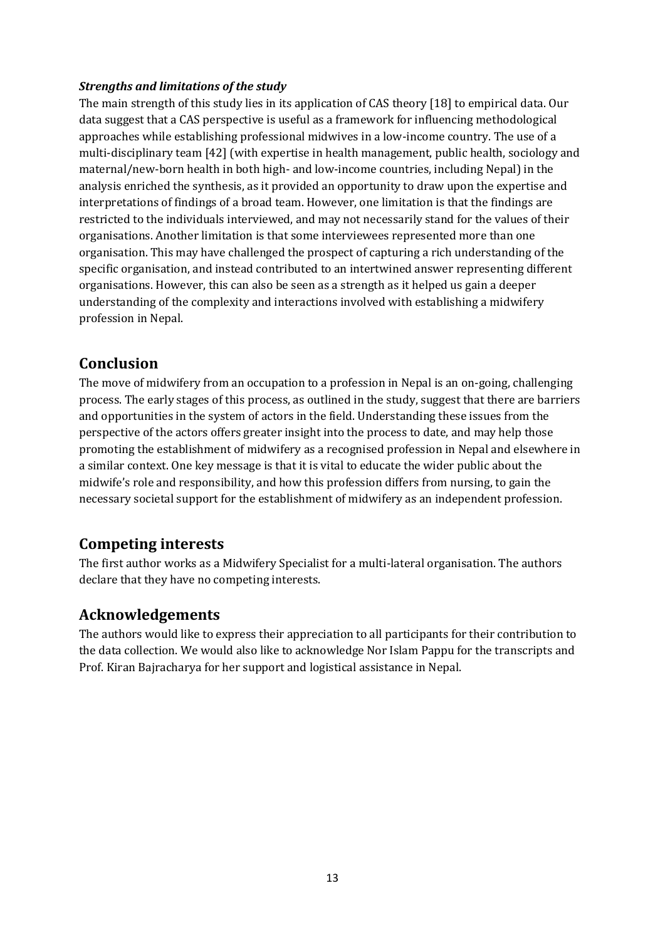### *Strengths and limitations of the study*

The main strength of this study lies in its application of CAS theory [18] to empirical data. Our data suggest that a CAS perspective is useful as a framework for influencing methodological approaches while establishing professional midwives in a low-income country. The use of a multi-disciplinary team [42] (with expertise in health management, public health, sociology and maternal/new-born health in both high- and low-income countries, including Nepal) in the analysis enriched the synthesis, as it provided an opportunity to draw upon the expertise and interpretations of findings of a broad team. However, one limitation is that the findings are restricted to the individuals interviewed, and may not necessarily stand for the values of their organisations. Another limitation is that some interviewees represented more than one organisation. This may have challenged the prospect of capturing a rich understanding of the specific organisation, and instead contributed to an intertwined answer representing different organisations. However, this can also be seen as a strength as it helped us gain a deeper understanding of the complexity and interactions involved with establishing a midwifery profession in Nepal.

## **Conclusion**

The move of midwifery from an occupation to a profession in Nepal is an on-going, challenging process. The early stages of this process, as outlined in the study, suggest that there are barriers and opportunities in the system of actors in the field. Understanding these issues from the perspective of the actors offers greater insight into the process to date, and may help those promoting the establishment of midwifery as a recognised profession in Nepal and elsewhere in a similar context. One key message is that it is vital to educate the wider public about the midwife's role and responsibility, and how this profession differs from nursing, to gain the necessary societal support for the establishment of midwifery as an independent profession.

# **Competing interests**

The first author works as a Midwifery Specialist for a multi-lateral organisation. The authors declare that they have no competing interests.

# **Acknowledgements**

The authors would like to express their appreciation to all participants for their contribution to the data collection. We would also like to acknowledge Nor Islam Pappu for the transcripts and Prof. Kiran Bajracharya for her support and logistical assistance in Nepal.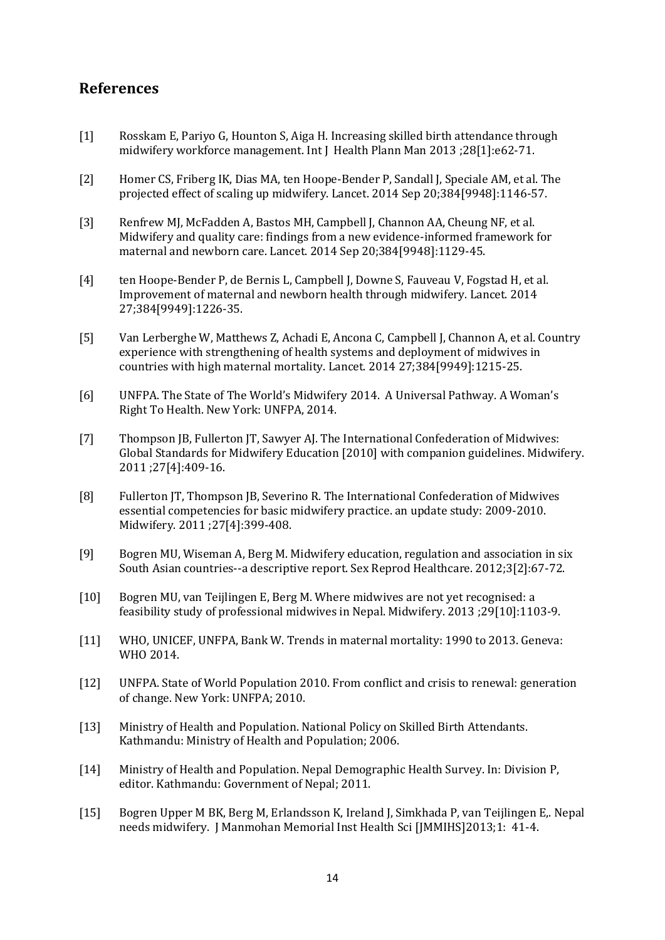## **References**

- [1] Rosskam E, Pariyo G, Hounton S, Aiga H. Increasing skilled birth attendance through midwifery workforce management. Int J Health Plann Man 2013 ;28[1]:e62-71.
- [2] Homer CS, Friberg IK, Dias MA, ten Hoope-Bender P, Sandall J, Speciale AM, et al. The projected effect of scaling up midwifery. Lancet. 2014 Sep 20;384[9948]:1146-57.
- [3] Renfrew MJ, McFadden A, Bastos MH, Campbell J, Channon AA, Cheung NF, et al. Midwifery and quality care: findings from a new evidence-informed framework for maternal and newborn care. Lancet. 2014 Sep 20;384[9948]:1129-45.
- [4] ten Hoope-Bender P, de Bernis L, Campbell J, Downe S, Fauveau V, Fogstad H, et al. Improvement of maternal and newborn health through midwifery. Lancet. 2014 27;384[9949]:1226-35.
- [5] Van Lerberghe W, Matthews Z, Achadi E, Ancona C, Campbell J, Channon A, et al. Country experience with strengthening of health systems and deployment of midwives in countries with high maternal mortality. Lancet. 2014 27;384[9949]:1215-25.
- [6] UNFPA. The State of The World's Midwifery 2014. A Universal Pathway. A Woman's Right To Health. New York: UNFPA, 2014.
- [7] Thompson JB, Fullerton JT, Sawyer AJ. The International Confederation of Midwives: Global Standards for Midwifery Education [2010] with companion guidelines. Midwifery. 2011 ;27[4]:409-16.
- [8] Fullerton JT, Thompson JB, Severino R. The International Confederation of Midwives essential competencies for basic midwifery practice. an update study: 2009-2010. Midwifery. 2011 ;27[4]:399-408.
- [9] Bogren MU, Wiseman A, Berg M. Midwifery education, regulation and association in six South Asian countries--a descriptive report. Sex Reprod Healthcare. 2012;3[2]:67-72.
- [10] Bogren MU, van Teijlingen E, Berg M. Where midwives are not yet recognised: a feasibility study of professional midwives in Nepal. Midwifery. 2013 ;29[10]:1103-9.
- [11] WHO, UNICEF, UNFPA, Bank W. Trends in maternal mortality: 1990 to 2013. Geneva: WHO 2014.
- [12] UNFPA. State of World Population 2010. From conflict and crisis to renewal: generation of change. New York: UNFPA; 2010.
- [13] Ministry of Health and Population. National Policy on Skilled Birth Attendants. Kathmandu: Ministry of Health and Population; 2006.
- [14] Ministry of Health and Population. Nepal Demographic Health Survey. In: Division P, editor. Kathmandu: Government of Nepal; 2011.
- [15] Bogren Upper M BK, Berg M, Erlandsson K, Ireland J, Simkhada P, van Teijlingen E,. Nepal needs midwifery. J Manmohan Memorial Inst Health Sci [JMMIHS]2013;1: 41-4.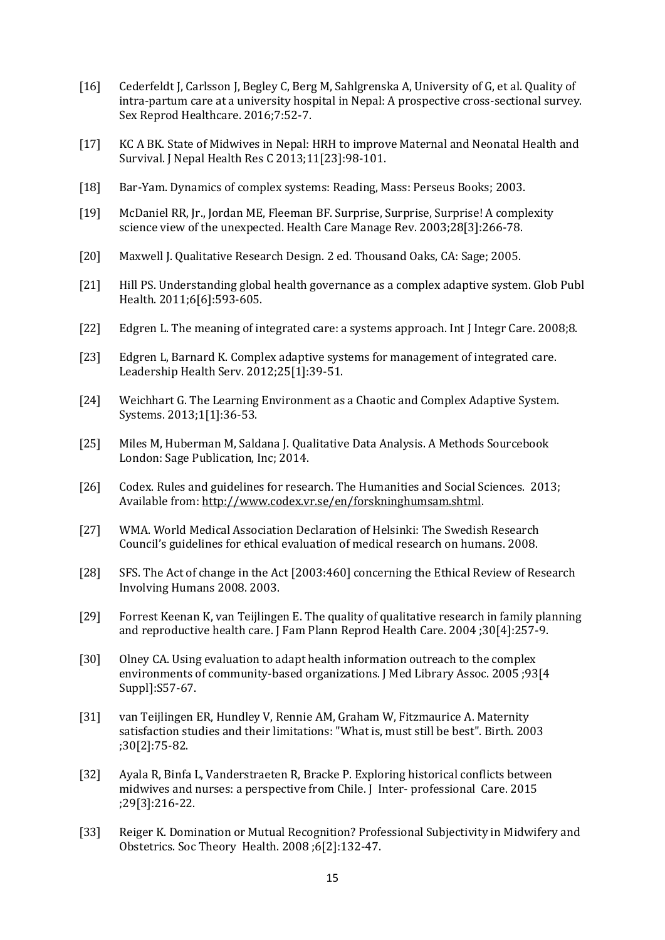- [16] Cederfeldt J, Carlsson J, Begley C, Berg M, Sahlgrenska A, University of G, et al. Quality of intra-partum care at a university hospital in Nepal: A prospective cross-sectional survey. Sex Reprod Healthcare. 2016;7:52-7.
- [17] KC A BK. State of Midwives in Nepal: HRH to improve Maternal and Neonatal Health and Survival. J Nepal Health Res C 2013;11[23]:98-101.
- [18] Bar-Yam. Dynamics of complex systems: Reading, Mass: Perseus Books; 2003.
- [19] McDaniel RR, Jr., Jordan ME, Fleeman BF. Surprise, Surprise, Surprise! A complexity science view of the unexpected. Health Care Manage Rev. 2003;28[3]:266-78.
- [20] Maxwell J. Qualitative Research Design. 2 ed. Thousand Oaks, CA: Sage; 2005.
- [21] Hill PS. Understanding global health governance as a complex adaptive system. Glob Publ Health. 2011;6[6]:593-605.
- [22] Edgren L. The meaning of integrated care: a systems approach. Int J Integr Care. 2008;8.
- [23] Edgren L, Barnard K. Complex adaptive systems for management of integrated care. Leadership Health Serv. 2012;25[1]:39-51.
- [24] Weichhart G. The Learning Environment as a Chaotic and Complex Adaptive System. Systems. 2013;1[1]:36-53.
- [25] Miles M, Huberman M, Saldana J. Qualitative Data Analysis. A Methods Sourcebook London: Sage Publication, Inc; 2014.
- [26] Codex. Rules and guidelines for research. The Humanities and Social Sciences. 2013; Available from: [http://www.codex.vr.se/en/forskninghumsam.shtml.](http://www.codex.vr.se/en/forskninghumsam.shtml)
- [27] WMA. World Medical Association Declaration of Helsinki: The Swedish Research Council's guidelines for ethical evaluation of medical research on humans. 2008.
- [28] SFS. The Act of change in the Act [2003:460] concerning the Ethical Review of Research Involving Humans 2008. 2003.
- [29] Forrest Keenan K, van Teijlingen E. The quality of qualitative research in family planning and reproductive health care. J Fam Plann Reprod Health Care. 2004 ;30[4]:257-9.
- [30] Olney CA. Using evaluation to adapt health information outreach to the complex environments of community-based organizations. J Med Library Assoc. 2005 ;93[4 Suppl]:S57-67.
- [31] van Teijlingen ER, Hundley V, Rennie AM, Graham W, Fitzmaurice A. Maternity satisfaction studies and their limitations: "What is, must still be best". Birth. 2003 ;30[2]:75-82.
- [32] Ayala R, Binfa L, Vanderstraeten R, Bracke P. Exploring historical conflicts between midwives and nurses: a perspective from Chile. J Inter- professional Care. 2015 ;29[3]:216-22.
- [33] Reiger K. Domination or Mutual Recognition? Professional Subjectivity in Midwifery and Obstetrics. Soc Theory Health. 2008 ;6[2]:132-47.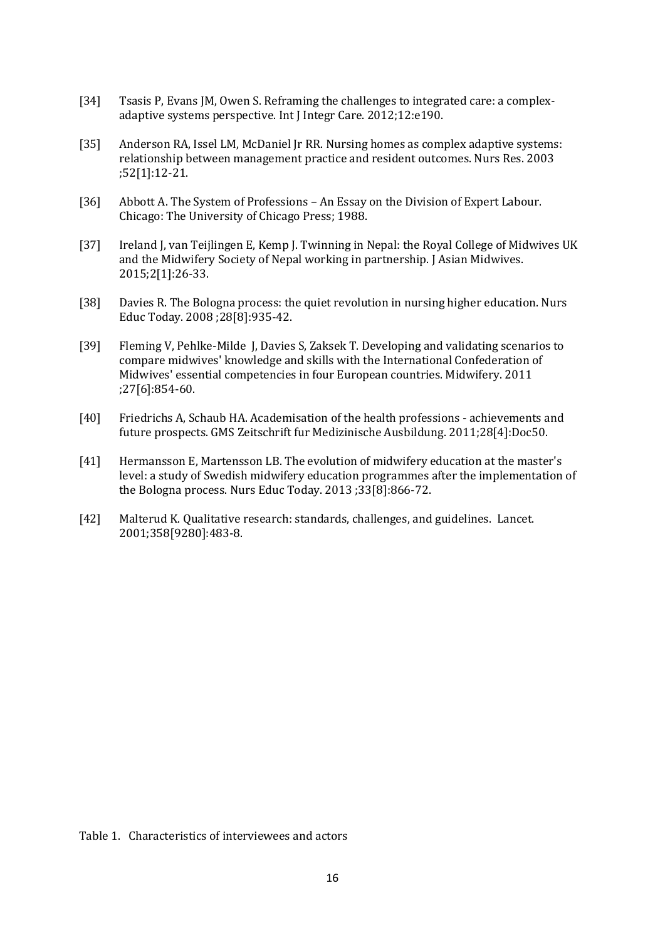- [34] Tsasis P, Evans JM, Owen S. Reframing the challenges to integrated care: a complexadaptive systems perspective. Int J Integr Care. 2012;12:e190.
- [35] Anderson RA, Issel LM, McDaniel Jr RR. Nursing homes as complex adaptive systems: relationship between management practice and resident outcomes. Nurs Res. 2003 ;52[1]:12-21.
- [36] Abbott A. The System of Professions An Essay on the Division of Expert Labour. Chicago: The University of Chicago Press; 1988.
- [37] Ireland J, van Teijlingen E, Kemp J. Twinning in Nepal: the Royal College of Midwives UK and the Midwifery Society of Nepal working in partnership. J Asian Midwives. 2015;2[1]:26-33.
- [38] Davies R. The Bologna process: the quiet revolution in nursing higher education. Nurs Educ Today. 2008 ;28[8]:935-42.
- [39] Fleming V, Pehlke-Milde J, Davies S, Zaksek T. Developing and validating scenarios to compare midwives' knowledge and skills with the International Confederation of Midwives' essential competencies in four European countries. Midwifery. 2011 ;27[6]:854-60.
- [40] Friedrichs A, Schaub HA. Academisation of the health professions achievements and future prospects. GMS Zeitschrift fur Medizinische Ausbildung. 2011;28[4]:Doc50.
- [41] Hermansson E, Martensson LB. The evolution of midwifery education at the master's level: a study of Swedish midwifery education programmes after the implementation of the Bologna process. Nurs Educ Today. 2013 ;33[8]:866-72.
- [42] Malterud K. Qualitative research: standards, challenges, and guidelines. Lancet. 2001;358[9280]:483-8.

Table 1. Characteristics of interviewees and actors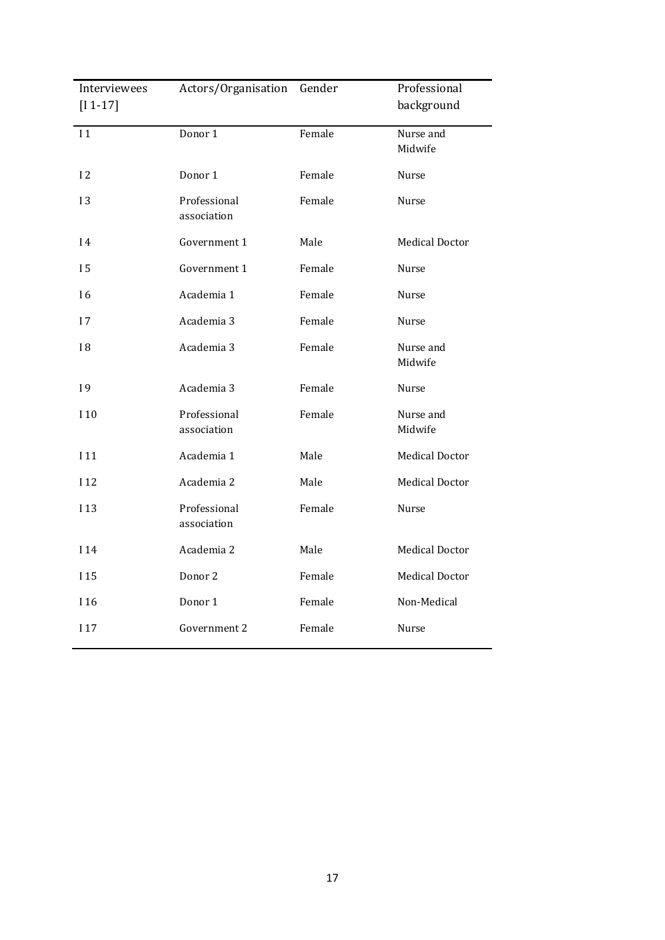| Interviewees<br>$[I 1-17]$ | Actors/Organisation         | Gender | Professional<br>background |
|----------------------------|-----------------------------|--------|----------------------------|
| I <sub>1</sub>             | Donor $\overline{1}$        | Female | Nurse and<br>Midwife       |
| 12                         | Donor 1                     | Female | Nurse                      |
| <b>I3</b>                  | Professional<br>association | Female | Nurse                      |
| $\it{I}$ 4                 | Government 1                | Male   | <b>Medical Doctor</b>      |
| I 5                        | Government 1                | Female | Nurse                      |
| I 6                        | Academia 1                  | Female | Nurse                      |
| I 7                        | Academia 3                  | Female | Nurse                      |
| <b>18</b>                  | Academia 3                  | Female | Nurse and<br>Midwife       |
| I 9                        | Academia 3                  | Female | Nurse                      |
| I 10                       | Professional<br>association | Female | Nurse and<br>Midwife       |
| I 11                       | Academia 1                  | Male   | <b>Medical Doctor</b>      |
| I <sub>12</sub>            | Academia 2                  | Male   | <b>Medical Doctor</b>      |
| I 13                       | Professional<br>association | Female | Nurse                      |
| I 14                       | Academia 2                  | Male   | <b>Medical Doctor</b>      |
| I 15                       | Donor 2                     | Female | <b>Medical Doctor</b>      |
| I 16                       | Donor 1                     | Female | Non-Medical                |
| I 17                       | Government 2                | Female | Nurse                      |